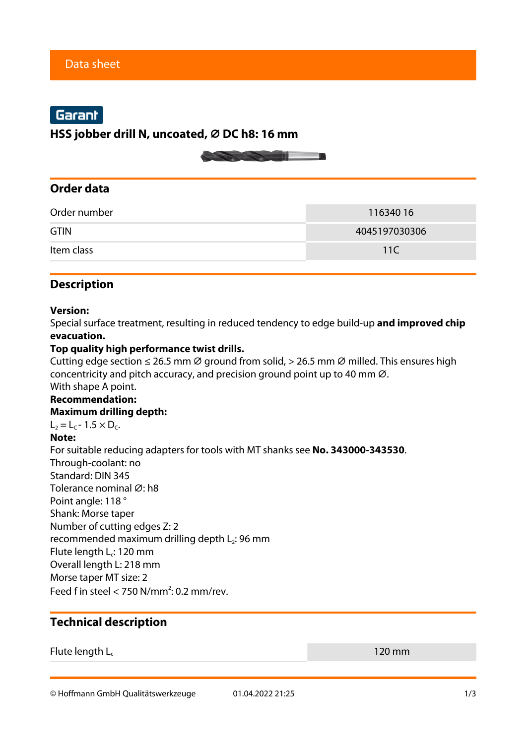# Garant

**HSS jobber drill N, uncoated, ⌀ DC h8: 16 mm**



# **Order data**

| Order number | 11634016      |  |
|--------------|---------------|--|
| <b>GTIN</b>  | 4045197030306 |  |
| Item class   | 11 $\subset$  |  |

# **Description**

#### **Version:**

Special surface treatment, resulting in reduced tendency to edge build-up **and improved chip evacuation.**

#### **Top quality high performance twist drills.**

Cutting edge section  $\leq$  26.5 mm  $\varnothing$  ground from solid, > 26.5 mm  $\varnothing$  milled. This ensures high concentricity and pitch accuracy, and precision ground point up to 40 mm  $\varnothing$ . With shape A point.

## **Recommendation:**

#### **Maximum drilling depth:**

 $L_2 = L_c - 1.5 \times D_c$ .

#### **Note:**

For suitable reducing adapters for tools with MT shanks see **No. 343000-343530**. Through-coolant: no Standard: DIN 345 Tolerance nominal Ø: h8 Point angle: 118 ° Shank: Morse taper Number of cutting edges Z: 2 recommended maximum drilling depth L<sub>2</sub>: 96 mm Flute length L<sub>c</sub>: 120 mm Overall length L: 218 mm Morse taper MT size: 2 Feed f in steel  $<$  750 N/mm<sup>2</sup>: 0.2 mm/rev.

### **Technical description**

#### Flute length  $L_c$  120 mm

© Hoffmann GmbH Qualitätswerkzeuge 01.04.2022 21:25 1/3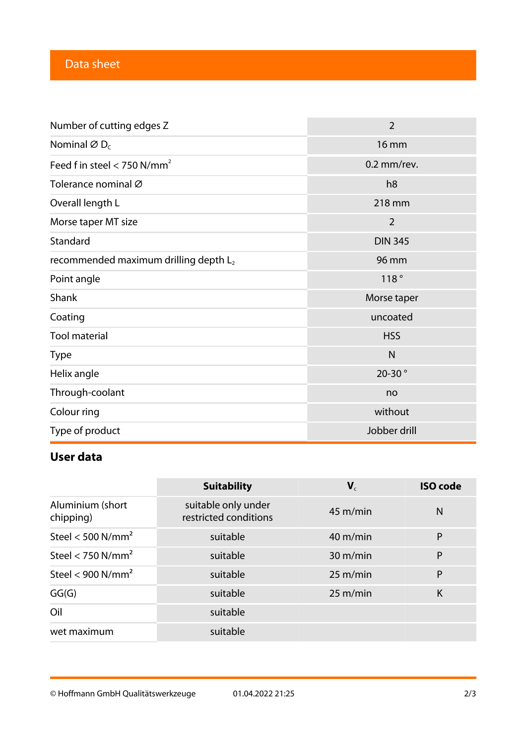# Data sheet

| Number of cutting edges Z                         | $\overline{2}$ |  |
|---------------------------------------------------|----------------|--|
| Nominal $\varnothing$ D <sub>c</sub>              | <b>16 mm</b>   |  |
| Feed f in steel < 750 $N/mm^2$                    | 0.2 mm/rev.    |  |
| Tolerance nominal Ø                               | h <sub>8</sub> |  |
| Overall length L                                  | 218 mm         |  |
| Morse taper MT size                               | $\overline{2}$ |  |
| Standard                                          | <b>DIN 345</b> |  |
| recommended maximum drilling depth L <sub>2</sub> | 96 mm          |  |
| Point angle                                       | 118°           |  |
| Shank                                             | Morse taper    |  |
| Coating                                           | uncoated       |  |
| <b>Tool material</b>                              | <b>HSS</b>     |  |
| <b>Type</b>                                       | $\mathsf{N}$   |  |
| Helix angle                                       | 20-30°         |  |
| Through-coolant                                   | no             |  |
| Colour ring                                       | without        |  |
| Type of product                                   | Jobber drill   |  |

# **User data**

|                               | <b>Suitability</b>                           | ${\bf V}_c$        | <b>ISO code</b> |
|-------------------------------|----------------------------------------------|--------------------|-----------------|
| Aluminium (short<br>chipping) | suitable only under<br>restricted conditions | $45 \text{ m/min}$ | N               |
| Steel < 500 $N/mm^2$          | suitable                                     | $40 \text{ m/min}$ | $\mathsf{P}$    |
| Steel < 750 $N/mm^2$          | suitable                                     | $30 \text{ m/min}$ | P               |
| Steel < 900 $N/mm^2$          | suitable                                     | 25 m/min           | P               |
| GG(G)                         | suitable                                     | $25 \text{ m/min}$ | K               |
| Oil                           | suitable                                     |                    |                 |
| wet maximum                   | suitable                                     |                    |                 |